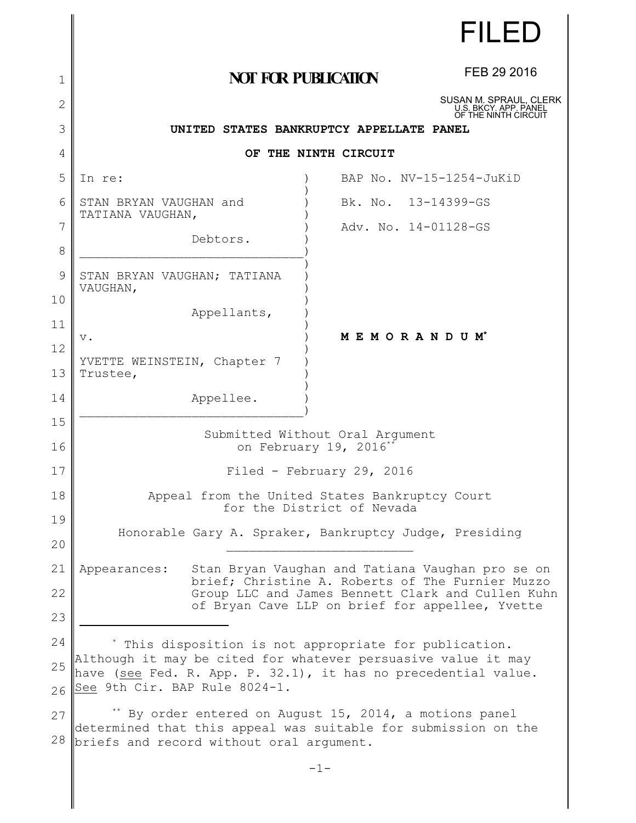|          |                                                                                                                                                                    | FILED                                                                   |  |
|----------|--------------------------------------------------------------------------------------------------------------------------------------------------------------------|-------------------------------------------------------------------------|--|
| 1        | <b>NOT FOR PUBLICATION</b>                                                                                                                                         | FEB 29 2016                                                             |  |
| 2        |                                                                                                                                                                    | SUSAN M. SPRAUL, CLERK<br>U.S. BKCY. APP. PANEL<br>OF THE NINTH CIRCUIT |  |
| 3        | UNITED STATES BANKRUPTCY APPELLATE PANEL                                                                                                                           |                                                                         |  |
| 4        | OF THE NINTH CIRCUIT                                                                                                                                               |                                                                         |  |
| 5        | In re:                                                                                                                                                             | BAP No. NV-15-1254-JuKiD                                                |  |
| 6        | STAN BRYAN VAUGHAN and<br>Bk. No. 13-14399-GS<br>TATIANA VAUGHAN,                                                                                                  |                                                                         |  |
| 7<br>8   | Adv. No. 14-01128-GS<br>Debtors.                                                                                                                                   |                                                                         |  |
| 9        | STAN BRYAN VAUGHAN; TATIANA<br>VAUGHAN,                                                                                                                            |                                                                         |  |
| 10       | Appellants,                                                                                                                                                        |                                                                         |  |
| 11       | MEMORANDUM*<br>$V$ .                                                                                                                                               |                                                                         |  |
| 12<br>13 | YVETTE WEINSTEIN, Chapter 7<br>Trustee,                                                                                                                            |                                                                         |  |
| 14       | Appellee.                                                                                                                                                          |                                                                         |  |
| 15<br>16 | Submitted Without Oral Argument<br>on February 19, 2016*                                                                                                           |                                                                         |  |
| 17       | Filed - February 29, 2016                                                                                                                                          |                                                                         |  |
| 18       | Appeal from the United States Bankruptcy Court<br>for the District of Nevada                                                                                       |                                                                         |  |
| 19<br>20 | Honorable Gary A. Spraker, Bankruptcy Judge, Presiding                                                                                                             |                                                                         |  |
| 21       | Stan Bryan Vaughan and Tatiana Vaughan pro se on<br>Appearances:                                                                                                   |                                                                         |  |
| 22       | brief; Christine A. Roberts of The Furnier Muzzo<br>Group LLC and James Bennett Clark and Cullen Kuhn                                                              |                                                                         |  |
| 23       | of Bryan Cave LLP on brief for appellee, Yvette                                                                                                                    |                                                                         |  |
| 24       | * This disposition is not appropriate for publication.                                                                                                             |                                                                         |  |
| 25       | Although it may be cited for whatever persuasive value it may<br>have (see Fed. R. App. P. 32.1), it has no precedential value.                                    |                                                                         |  |
| 26       | See 9th Cir. BAP Rule 8024-1.                                                                                                                                      |                                                                         |  |
| 27<br>28 | By order entered on August 15, 2014, a motions panel<br>determined that this appeal was suitable for submission on the<br>briefs and record without oral argument. |                                                                         |  |
|          | $-1-$                                                                                                                                                              |                                                                         |  |

║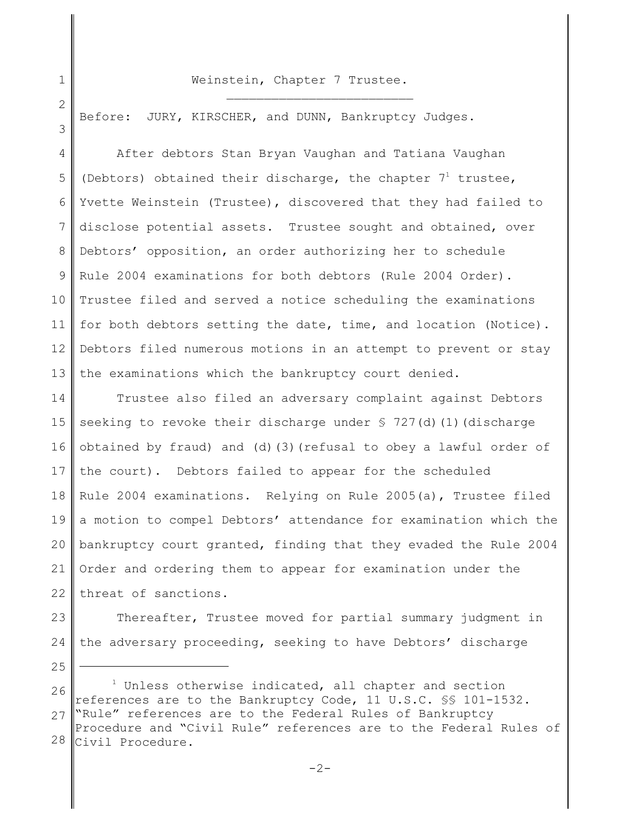## Weinstein, Chapter 7 Trustee.  $\mathcal{L}_\text{max}$

1

2

3

Before: JURY, KIRSCHER, and DUNN, Bankruptcy Judges.

4 5 6 7 8 9 10 11 12 13 After debtors Stan Bryan Vaughan and Tatiana Vaughan (Debtors) obtained their discharge, the chapter  $7<sup>1</sup>$  trustee, Yvette Weinstein (Trustee), discovered that they had failed to disclose potential assets. Trustee sought and obtained, over Debtors' opposition, an order authorizing her to schedule Rule 2004 examinations for both debtors (Rule 2004 Order). Trustee filed and served a notice scheduling the examinations for both debtors setting the date, time, and location (Notice). Debtors filed numerous motions in an attempt to prevent or stay the examinations which the bankruptcy court denied.

14 15 16 17 18 19 20 21 22 Trustee also filed an adversary complaint against Debtors seeking to revoke their discharge under § 727(d)(1)(discharge obtained by fraud) and (d)(3)(refusal to obey a lawful order of the court). Debtors failed to appear for the scheduled Rule 2004 examinations. Relying on Rule 2005(a), Trustee filed a motion to compel Debtors' attendance for examination which the bankruptcy court granted, finding that they evaded the Rule 2004 Order and ordering them to appear for examination under the threat of sanctions.

23

24 Thereafter, Trustee moved for partial summary judgment in the adversary proceeding, seeking to have Debtors' discharge

25

26 27 28  $1$  Unless otherwise indicated, all chapter and section references are to the Bankruptcy Code, 11 U.S.C. §§ 101-1532. "Rule" references are to the Federal Rules of Bankruptcy Procedure and "Civil Rule" references are to the Federal Rules of Civil Procedure.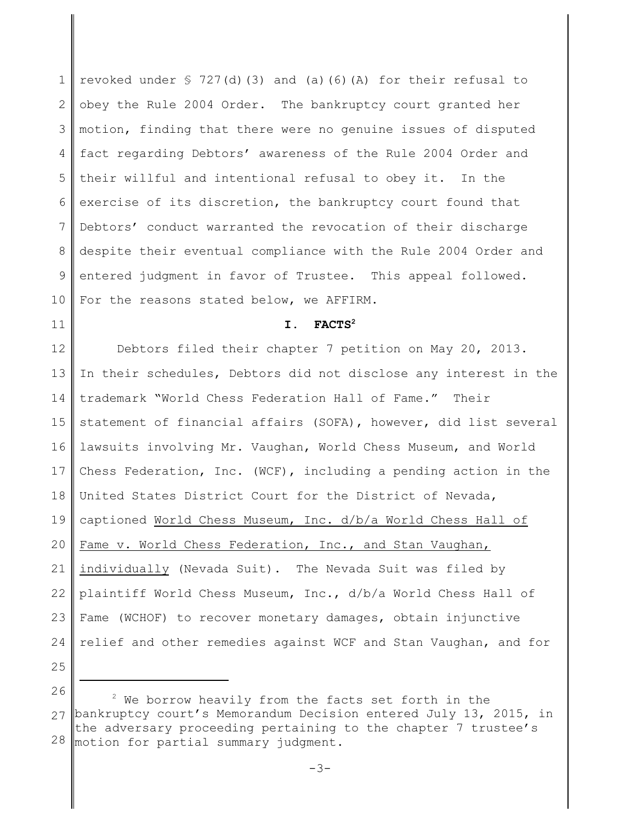1 2 3 4 5 6 7 8 9 10 revoked under § 727(d)(3) and (a)(6)(A) for their refusal to obey the Rule 2004 Order. The bankruptcy court granted her motion, finding that there were no genuine issues of disputed fact regarding Debtors' awareness of the Rule 2004 Order and their willful and intentional refusal to obey it. In the exercise of its discretion, the bankruptcy court found that Debtors' conduct warranted the revocation of their discharge despite their eventual compliance with the Rule 2004 Order and entered judgment in favor of Trustee. This appeal followed. For the reasons stated below, we AFFIRM.

## **I. FACTS<sup>2</sup>**

12 13 14 15 16 17 18 19 20 21 22 23 24 25 Debtors filed their chapter 7 petition on May 20, 2013. In their schedules, Debtors did not disclose any interest in the trademark "World Chess Federation Hall of Fame." Their statement of financial affairs (SOFA), however, did list several lawsuits involving Mr. Vaughan, World Chess Museum, and World Chess Federation, Inc. (WCF), including a pending action in the United States District Court for the District of Nevada, captioned World Chess Museum, Inc. d/b/a World Chess Hall of Fame v. World Chess Federation, Inc., and Stan Vaughan, individually (Nevada Suit). The Nevada Suit was filed by plaintiff World Chess Museum, Inc., d/b/a World Chess Hall of Fame (WCHOF) to recover monetary damages, obtain injunctive relief and other remedies against WCF and Stan Vaughan, and for

26

11

<sup>27</sup> bankruptcy court's Memorandum Decision entered July 13, 2015, in 28  $2$  We borrow heavily from the facts set forth in the the adversary proceeding pertaining to the chapter 7 trustee's motion for partial summary judgment.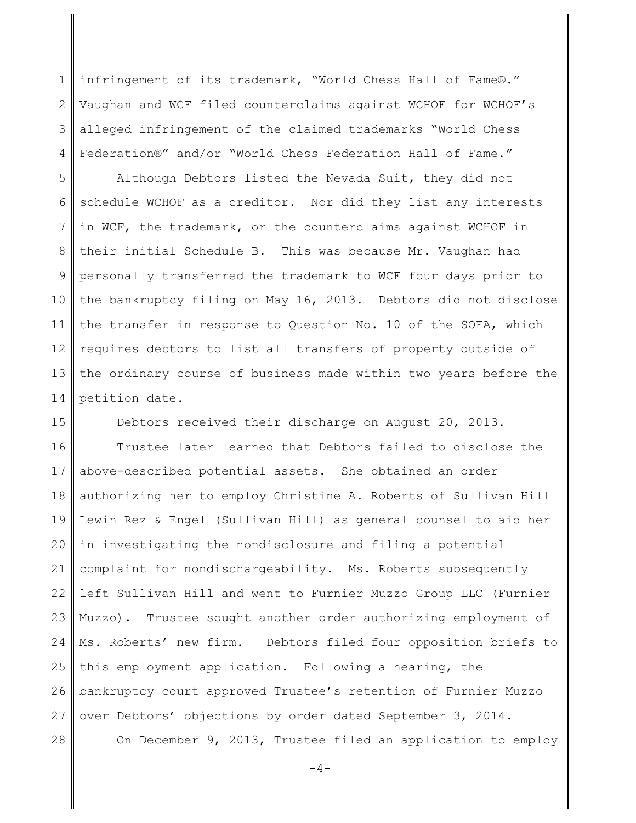1 2 3 4 infringement of its trademark, "World Chess Hall of Fame®." Vaughan and WCF filed counterclaims against WCHOF for WCHOF's alleged infringement of the claimed trademarks "World Chess Federation®" and/or "World Chess Federation Hall of Fame."

5 6 7 8 9 10 11 12 13 14 Although Debtors listed the Nevada Suit, they did not schedule WCHOF as a creditor. Nor did they list any interests in WCF, the trademark, or the counterclaims against WCHOF in their initial Schedule B. This was because Mr. Vaughan had personally transferred the trademark to WCF four days prior to the bankruptcy filing on May 16, 2013. Debtors did not disclose the transfer in response to Question No. 10 of the SOFA, which requires debtors to list all transfers of property outside of the ordinary course of business made within two years before the petition date.

15 Debtors received their discharge on August 20, 2013.

16 17 18 19 20 21 22 23 24 25 26 27 28 Trustee later learned that Debtors failed to disclose the above-described potential assets. She obtained an order authorizing her to employ Christine A. Roberts of Sullivan Hill Lewin Rez & Engel (Sullivan Hill) as general counsel to aid her in investigating the nondisclosure and filing a potential complaint for nondischargeability. Ms. Roberts subsequently left Sullivan Hill and went to Furnier Muzzo Group LLC (Furnier Muzzo). Trustee sought another order authorizing employment of Ms. Roberts' new firm. Debtors filed four opposition briefs to this employment application. Following a hearing, the bankruptcy court approved Trustee's retention of Furnier Muzzo over Debtors' objections by order dated September 3, 2014. On December 9, 2013, Trustee filed an application to employ

 $-4-$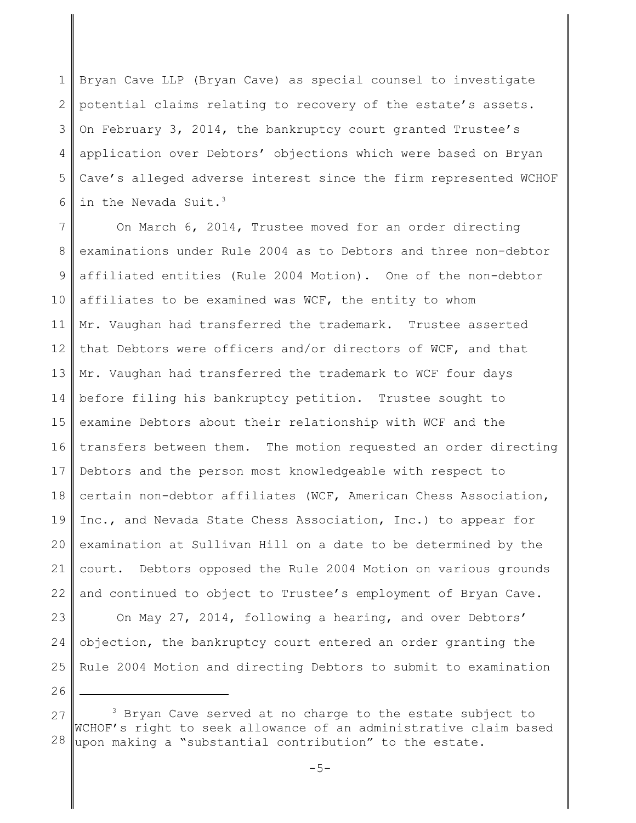1 2 3 4 5 6 Bryan Cave LLP (Bryan Cave) as special counsel to investigate potential claims relating to recovery of the estate's assets. On February 3, 2014, the bankruptcy court granted Trustee's application over Debtors' objections which were based on Bryan Cave's alleged adverse interest since the firm represented WCHOF in the Nevada Suit.<sup>3</sup>

7 8 9 10 11 12 13 14 15 16 17 18 19 20 21 22 23 24 25 On March 6, 2014, Trustee moved for an order directing examinations under Rule 2004 as to Debtors and three non-debtor affiliated entities (Rule 2004 Motion). One of the non-debtor affiliates to be examined was WCF, the entity to whom Mr. Vaughan had transferred the trademark. Trustee asserted that Debtors were officers and/or directors of WCF, and that Mr. Vaughan had transferred the trademark to WCF four days before filing his bankruptcy petition. Trustee sought to examine Debtors about their relationship with WCF and the transfers between them. The motion requested an order directing Debtors and the person most knowledgeable with respect to certain non-debtor affiliates (WCF, American Chess Association, Inc., and Nevada State Chess Association, Inc.) to appear for examination at Sullivan Hill on a date to be determined by the court. Debtors opposed the Rule 2004 Motion on various grounds and continued to object to Trustee's employment of Bryan Cave. On May 27, 2014, following a hearing, and over Debtors' objection, the bankruptcy court entered an order granting the Rule 2004 Motion and directing Debtors to submit to examination

26

<sup>27</sup> 28  $3$  Bryan Cave served at no charge to the estate subject to WCHOF's right to seek allowance of an administrative claim based upon making a "substantial contribution" to the estate.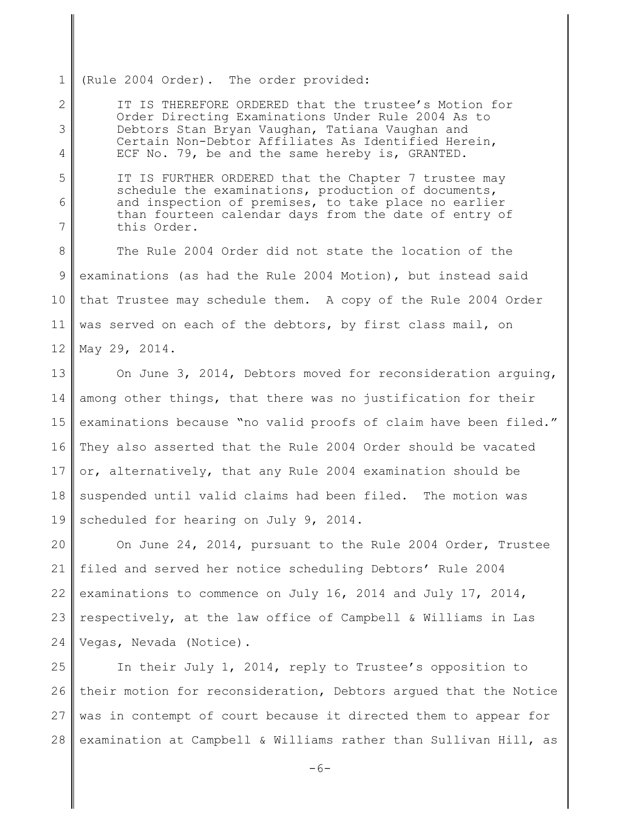1 (Rule 2004 Order). The order provided:

5

6

7

2 3 4 IT IS THEREFORE ORDERED that the trustee's Motion for Order Directing Examinations Under Rule 2004 As to Debtors Stan Bryan Vaughan, Tatiana Vaughan and Certain Non-Debtor Affiliates As Identified Herein, ECF No. 79, be and the same hereby is, GRANTED.

IT IS FURTHER ORDERED that the Chapter 7 trustee may schedule the examinations, production of documents, and inspection of premises, to take place no earlier than fourteen calendar days from the date of entry of this Order.

8 9 10 11 12 The Rule 2004 Order did not state the location of the examinations (as had the Rule 2004 Motion), but instead said that Trustee may schedule them. A copy of the Rule 2004 Order was served on each of the debtors, by first class mail, on May 29, 2014.

13 14 15 16 17 18 19 On June 3, 2014, Debtors moved for reconsideration arguing, among other things, that there was no justification for their examinations because "no valid proofs of claim have been filed." They also asserted that the Rule 2004 Order should be vacated or, alternatively, that any Rule 2004 examination should be suspended until valid claims had been filed. The motion was scheduled for hearing on July 9, 2014.

20 21 22 23 24 On June 24, 2014, pursuant to the Rule 2004 Order, Trustee filed and served her notice scheduling Debtors' Rule 2004 examinations to commence on July 16, 2014 and July 17, 2014, respectively, at the law office of Campbell & Williams in Las Vegas, Nevada (Notice).

25 26 27 28 In their July 1, 2014, reply to Trustee's opposition to their motion for reconsideration, Debtors argued that the Notice was in contempt of court because it directed them to appear for examination at Campbell & Williams rather than Sullivan Hill, as

 $-6-$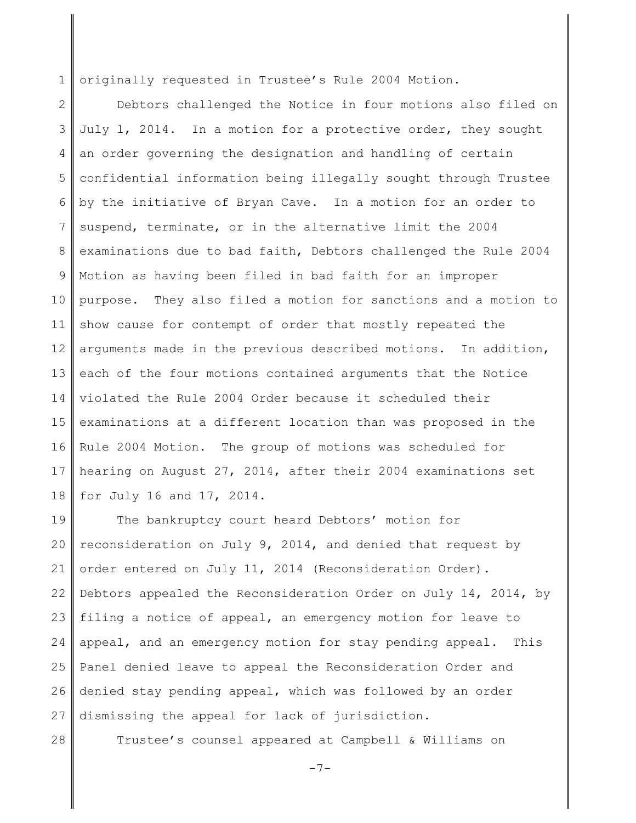1 originally requested in Trustee's Rule 2004 Motion.

2 3 4 5 6 7 8 9 10 11 12 13 14 15 16 17 18 Debtors challenged the Notice in four motions also filed on July 1, 2014. In a motion for a protective order, they sought an order governing the designation and handling of certain confidential information being illegally sought through Trustee by the initiative of Bryan Cave. In a motion for an order to suspend, terminate, or in the alternative limit the 2004 examinations due to bad faith, Debtors challenged the Rule 2004 Motion as having been filed in bad faith for an improper purpose. They also filed a motion for sanctions and a motion to show cause for contempt of order that mostly repeated the arguments made in the previous described motions. In addition, each of the four motions contained arguments that the Notice violated the Rule 2004 Order because it scheduled their examinations at a different location than was proposed in the Rule 2004 Motion. The group of motions was scheduled for hearing on August 27, 2014, after their 2004 examinations set for July 16 and 17, 2014.

19 20 21 22 23 24 25 26 27 The bankruptcy court heard Debtors' motion for reconsideration on July 9, 2014, and denied that request by order entered on July 11, 2014 (Reconsideration Order). Debtors appealed the Reconsideration Order on July 14, 2014, by filing a notice of appeal, an emergency motion for leave to appeal, and an emergency motion for stay pending appeal. This Panel denied leave to appeal the Reconsideration Order and denied stay pending appeal, which was followed by an order dismissing the appeal for lack of jurisdiction.

28

Trustee's counsel appeared at Campbell & Williams on

 $-7-$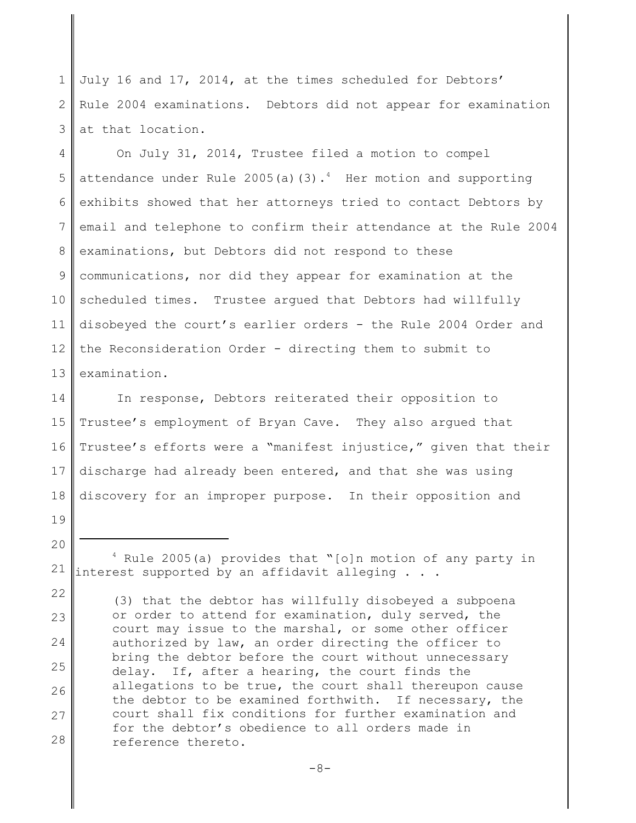1 2 3 July 16 and 17, 2014, at the times scheduled for Debtors' Rule 2004 examinations. Debtors did not appear for examination at that location.

4 5 6 7 8 9 10 11 12 13 On July 31, 2014, Trustee filed a motion to compel attendance under Rule 2005(a)(3).<sup>4</sup> Her motion and supporting exhibits showed that her attorneys tried to contact Debtors by email and telephone to confirm their attendance at the Rule 2004 examinations, but Debtors did not respond to these communications, nor did they appear for examination at the scheduled times. Trustee argued that Debtors had willfully disobeyed the court's earlier orders - the Rule 2004 Order and the Reconsideration Order - directing them to submit to examination.

14 15 16 17 18 In response, Debtors reiterated their opposition to Trustee's employment of Bryan Cave. They also argued that Trustee's efforts were a "manifest injustice," given that their discharge had already been entered, and that she was using discovery for an improper purpose. In their opposition and

21  $4$  Rule 2005(a) provides that "[o]n motion of any party in interest supported by an affidavit alleging . . .

19

20

22 23 24 25 26 27 28 (3) that the debtor has willfully disobeyed a subpoena or order to attend for examination, duly served, the court may issue to the marshal, or some other officer authorized by law, an order directing the officer to bring the debtor before the court without unnecessary delay. If, after a hearing, the court finds the allegations to be true, the court shall thereupon cause the debtor to be examined forthwith. If necessary, the court shall fix conditions for further examination and for the debtor's obedience to all orders made in reference thereto.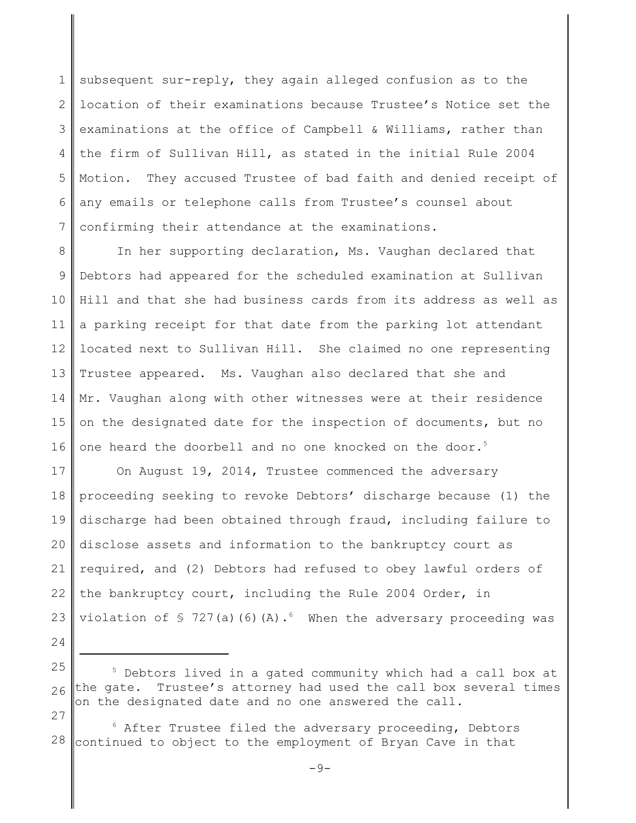1 2 3 4 5 6 7 subsequent sur-reply, they again alleged confusion as to the location of their examinations because Trustee's Notice set the examinations at the office of Campbell & Williams, rather than the firm of Sullivan Hill, as stated in the initial Rule 2004 Motion. They accused Trustee of bad faith and denied receipt of any emails or telephone calls from Trustee's counsel about confirming their attendance at the examinations.

8 9 10 11 12 13 14 15 16 In her supporting declaration, Ms. Vaughan declared that Debtors had appeared for the scheduled examination at Sullivan Hill and that she had business cards from its address as well as a parking receipt for that date from the parking lot attendant located next to Sullivan Hill. She claimed no one representing Trustee appeared. Ms. Vaughan also declared that she and Mr. Vaughan along with other witnesses were at their residence on the designated date for the inspection of documents, but no one heard the doorbell and no one knocked on the door.<sup>5</sup>

17 18 19 20 21 22 23 On August 19, 2014, Trustee commenced the adversary proceeding seeking to revoke Debtors' discharge because (1) the discharge had been obtained through fraud, including failure to disclose assets and information to the bankruptcy court as required, and (2) Debtors had refused to obey lawful orders of the bankruptcy court, including the Rule 2004 Order, in violation of  $\frac{1}{2}$  727(a)(6)(A).<sup>6</sup> When the adversary proceeding was

24

28  $6$  After Trustee filed the adversary proceeding, Debtors continued to object to the employment of Bryan Cave in that

 $-9-$ 

<sup>25</sup> 26 27 <sup>5</sup> Debtors lived in a gated community which had a call box at the gate. Trustee's attorney had used the call box several times on the designated date and no one answered the call.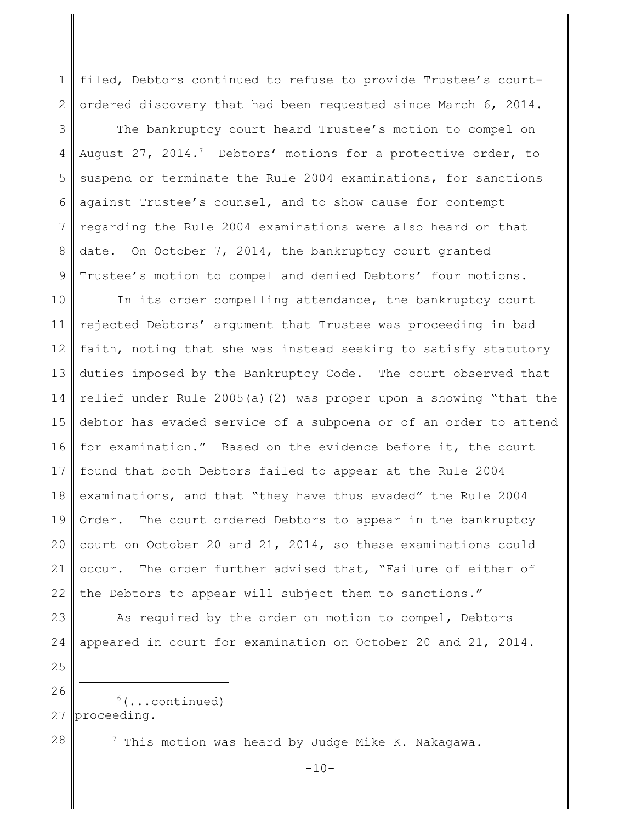1 2 filed, Debtors continued to refuse to provide Trustee's courtordered discovery that had been requested since March 6, 2014.

3 4 5 6 7 8 9 The bankruptcy court heard Trustee's motion to compel on August 27, 2014.<sup>7</sup> Debtors' motions for a protective order, to suspend or terminate the Rule 2004 examinations, for sanctions against Trustee's counsel, and to show cause for contempt regarding the Rule 2004 examinations were also heard on that date. On October 7, 2014, the bankruptcy court granted Trustee's motion to compel and denied Debtors' four motions.

10 11 12 13 14 15 16 17 18 19 20 21 22 In its order compelling attendance, the bankruptcy court rejected Debtors' argument that Trustee was proceeding in bad faith, noting that she was instead seeking to satisfy statutory duties imposed by the Bankruptcy Code. The court observed that relief under Rule 2005(a)(2) was proper upon a showing "that the debtor has evaded service of a subpoena or of an order to attend for examination." Based on the evidence before it, the court found that both Debtors failed to appear at the Rule 2004 examinations, and that "they have thus evaded" the Rule 2004 Order. The court ordered Debtors to appear in the bankruptcy court on October 20 and 21, 2014, so these examinations could occur. The order further advised that, "Failure of either of the Debtors to appear will subject them to sanctions."

24 25

26

23

27  $6(\ldots \text{continued})$ proceeding.

28

 $7$  This motion was heard by Judge Mike K. Nakagawa.

 $-10-$ 

As required by the order on motion to compel, Debtors

appeared in court for examination on October 20 and 21, 2014.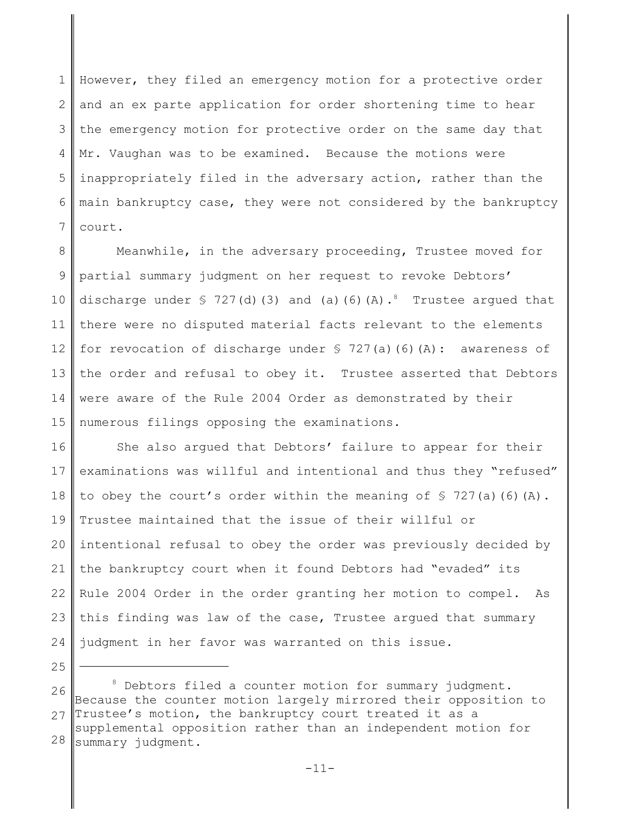1 2 3 4 5 6 7 However, they filed an emergency motion for a protective order and an ex parte application for order shortening time to hear the emergency motion for protective order on the same day that Mr. Vaughan was to be examined. Because the motions were inappropriately filed in the adversary action, rather than the main bankruptcy case, they were not considered by the bankruptcy court.

8 9 10 11 12 13 14 15 Meanwhile, in the adversary proceeding, Trustee moved for partial summary judgment on her request to revoke Debtors' discharge under  $\frac{1}{2}$  727(d)(3) and (a)(6)(A).<sup>8</sup> Trustee argued that there were no disputed material facts relevant to the elements for revocation of discharge under  $\frac{1}{2}$  727(a)(6)(A): awareness of the order and refusal to obey it. Trustee asserted that Debtors were aware of the Rule 2004 Order as demonstrated by their numerous filings opposing the examinations.

16 17 18 19 20 21 22 23 24 She also argued that Debtors' failure to appear for their examinations was willful and intentional and thus they "refused" to obey the court's order within the meaning of  $\Im$  727(a)(6)(A). Trustee maintained that the issue of their willful or intentional refusal to obey the order was previously decided by the bankruptcy court when it found Debtors had "evaded" its Rule 2004 Order in the order granting her motion to compel. As this finding was law of the case, Trustee argued that summary judgment in her favor was warranted on this issue.

25

26 27 28 <sup>8</sup> Debtors filed a counter motion for summary judgment. Because the counter motion largely mirrored their opposition to Trustee's motion, the bankruptcy court treated it as a supplemental opposition rather than an independent motion for summary judgment.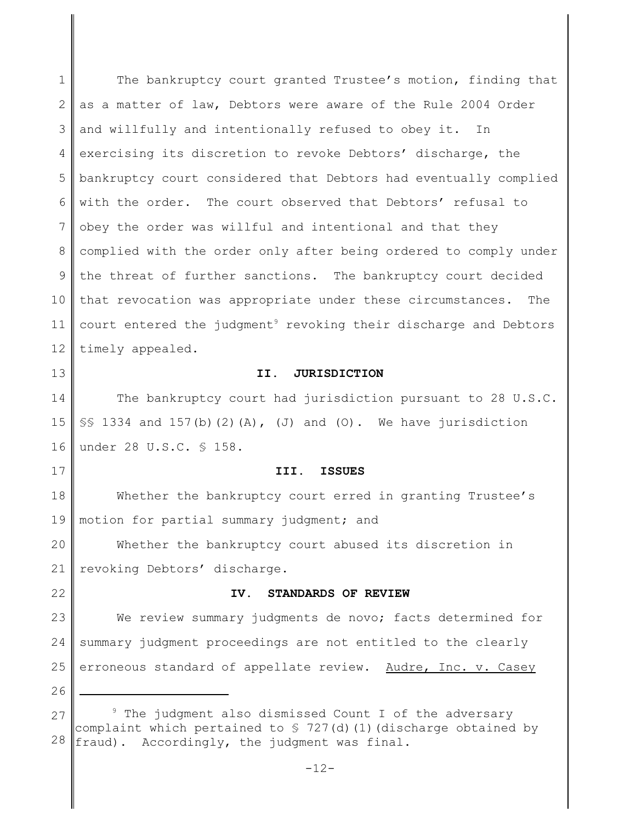1 2 3 4 5 6 7 8 9 10 11 12 The bankruptcy court granted Trustee's motion, finding that as a matter of law, Debtors were aware of the Rule 2004 Order and willfully and intentionally refused to obey it. In exercising its discretion to revoke Debtors' discharge, the bankruptcy court considered that Debtors had eventually complied with the order. The court observed that Debtors' refusal to obey the order was willful and intentional and that they complied with the order only after being ordered to comply under the threat of further sanctions. The bankruptcy court decided that revocation was appropriate under these circumstances. The court entered the judgment<sup>9</sup> revoking their discharge and Debtors timely appealed.

### **II. JURISDICTION**

14 15 16 The bankruptcy court had jurisdiction pursuant to 28 U.S.C.  $\S$ § 1334 and 157(b)(2)(A), (J) and (O). We have jurisdiction under 28 U.S.C. § 158.

### **III. ISSUES**

18 19 Whether the bankruptcy court erred in granting Trustee's motion for partial summary judgment; and

20 21 Whether the bankruptcy court abused its discretion in revoking Debtors' discharge.

22

13

17

### **IV. STANDARDS OF REVIEW**

23 24 25 We review summary judgments de novo; facts determined for summary judgment proceedings are not entitled to the clearly erroneous standard of appellate review. Audre, Inc. v. Casey

26

<sup>27</sup> 28 <sup>9</sup> The judgment also dismissed Count I of the adversary complaint which pertained to  $\frac{1}{2}$  727(d)(1)(discharge obtained by fraud). Accordingly, the judgment was final.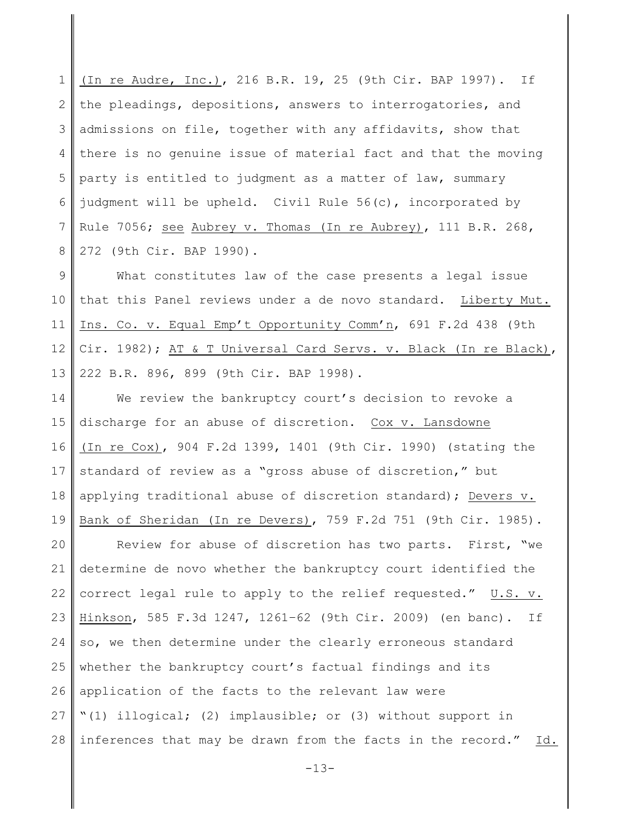1 2 3 4 5 6 7 8 (In re Audre, Inc.), 216 B.R. 19, 25 (9th Cir. BAP 1997). If the pleadings, depositions, answers to interrogatories, and admissions on file, together with any affidavits, show that there is no genuine issue of material fact and that the moving party is entitled to judgment as a matter of law, summary judgment will be upheld. Civil Rule 56(c), incorporated by Rule 7056; see Aubrey v. Thomas (In re Aubrey), 111 B.R. 268, 272 (9th Cir. BAP 1990)**.**

9 10 11 12 13 What constitutes law of the case presents a legal issue that this Panel reviews under a de novo standard. Liberty Mut. Ins. Co. v. Equal Emp't Opportunity Comm'n, 691 F.2d 438 (9th Cir. 1982); AT & T Universal Card Servs. v. Black (In re Black), 222 B.R. 896, 899 (9th Cir. BAP 1998).

14 15 16 17 18 19 We review the bankruptcy court's decision to revoke a discharge for an abuse of discretion. Cox v. Lansdowne (In re Cox), 904 F.2d 1399, 1401 (9th Cir. 1990) (stating the standard of review as a "gross abuse of discretion," but applying traditional abuse of discretion standard); Devers v. Bank of Sheridan (In re Devers), 759 F.2d 751 (9th Cir. 1985).

20 21 22 23 24 25 26 27 28 Review for abuse of discretion has two parts. First, "we determine de novo whether the bankruptcy court identified the correct legal rule to apply to the relief requested." U.S. v. Hinkson, 585 F.3d 1247, 1261–62 (9th Cir. 2009) (en banc). If so, we then determine under the clearly erroneous standard whether the bankruptcy court's factual findings and its application of the facts to the relevant law were "(1) illogical; (2) implausible; or (3) without support in inferences that may be drawn from the facts in the record." Id.

 $-13-$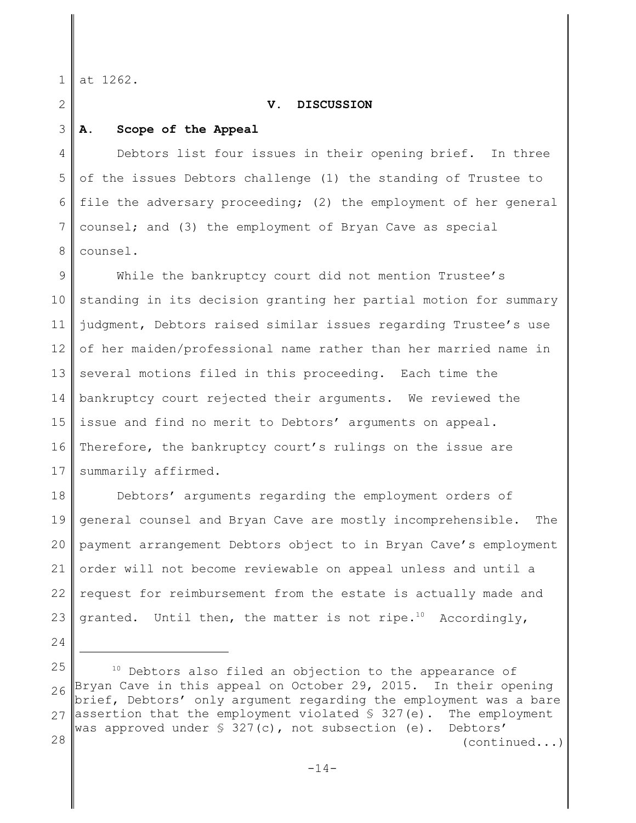1 at 1262.

2

### **V. DISCUSSION**

#### 3 **A. Scope of the Appeal**

4 5 6 7 8 Debtors list four issues in their opening brief. In three of the issues Debtors challenge (1) the standing of Trustee to file the adversary proceeding; (2) the employment of her general counsel; and (3) the employment of Bryan Cave as special counsel.

9 10 11 12 13 14 15 16 17 While the bankruptcy court did not mention Trustee's standing in its decision granting her partial motion for summary judgment, Debtors raised similar issues regarding Trustee's use of her maiden/professional name rather than her married name in several motions filed in this proceeding. Each time the bankruptcy court rejected their arguments. We reviewed the issue and find no merit to Debtors' arguments on appeal. Therefore, the bankruptcy court's rulings on the issue are summarily affirmed.

18 19 20 21 22 23 Debtors' arguments regarding the employment orders of general counsel and Bryan Cave are mostly incomprehensible. The payment arrangement Debtors object to in Bryan Cave's employment order will not become reviewable on appeal unless and until a request for reimbursement from the estate is actually made and granted. Until then, the matter is not ripe.<sup>10</sup> Accordingly,

- 24
- 25

26 27 28 <sup>10</sup> Debtors also filed an objection to the appearance of Bryan Cave in this appeal on October 29, 2015. In their opening brief, Debtors' only argument regarding the employment was a bare assertion that the employment violated  $\S$  327(e). The employment was approved under § 327(c), not subsection (e). Debtors' (continued...)

 $-14-$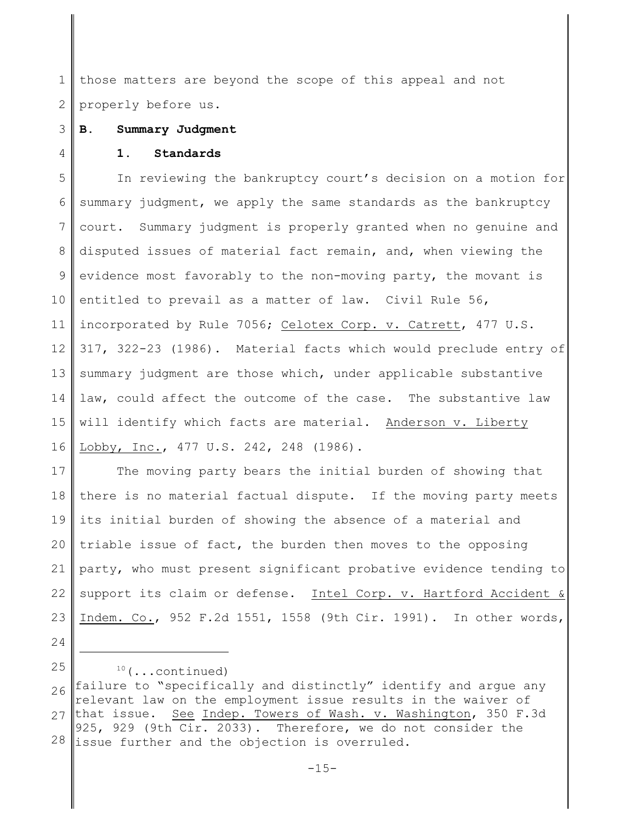1 2 those matters are beyond the scope of this appeal and not properly before us.

#### 3 **B. Summary Judgment**

4

### **1. Standards**

5 6 7 8 9 10 11 12 13 14 15 16 In reviewing the bankruptcy court's decision on a motion for summary judgment, we apply the same standards as the bankruptcy court. Summary judgment is properly granted when no genuine and disputed issues of material fact remain, and, when viewing the evidence most favorably to the non-moving party, the movant is entitled to prevail as a matter of law. Civil Rule 56, incorporated by Rule 7056; Celotex Corp. v. Catrett, 477 U.S. 317, 322-23 (1986). Material facts which would preclude entry of summary judgment are those which, under applicable substantive law, could affect the outcome of the case. The substantive law will identify which facts are material. Anderson v. Liberty Lobby, Inc., 477 U.S. 242, 248 (1986).

17 18 19 20 21 22 23 The moving party bears the initial burden of showing that there is no material factual dispute. If the moving party meets its initial burden of showing the absence of a material and triable issue of fact, the burden then moves to the opposing party, who must present significant probative evidence tending to support its claim or defense. Intel Corp. v. Hartford Accident & Indem. Co., 952 F.2d 1551, 1558 (9th Cir. 1991). In other words,

24 25

 $10$  (...continued)

<sup>26</sup> 27 28 failure to "specifically and distinctly" identify and argue any relevant law on the employment issue results in the waiver of that issue. See Indep. Towers of Wash. v. Washington, 350 F.3d 925, 929 (9th Cir. 2033). Therefore, we do not consider the issue further and the objection is overruled.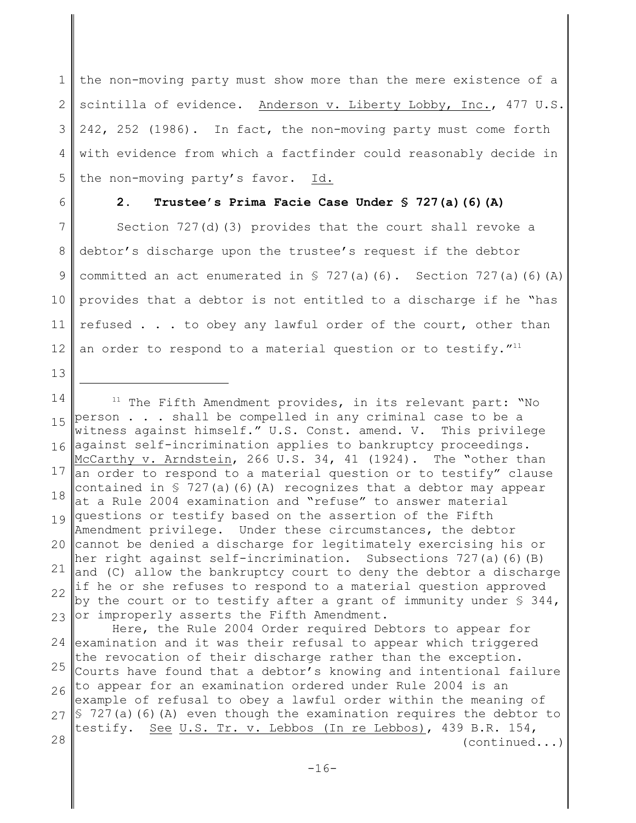1 2 3 4 5 the non-moving party must show more than the mere existence of a scintilla of evidence. Anderson v. Liberty Lobby, Inc., 477 U.S. 242, 252 (1986). In fact, the non-moving party must come forth with evidence from which a factfinder could reasonably decide in the non-moving party's favor. Id.

6

13

# **2. Trustee's Prima Facie Case Under § 727(a)(6)(A)**

7 8 9 10 11 12 Section 727(d)(3) provides that the court shall revoke a debtor's discharge upon the trustee's request if the debtor committed an act enumerated in  $\frac{1}{2}$  727(a)(6). Section 727(a)(6)(A) provides that a debtor is not entitled to a discharge if he "has refused . . . to obey any lawful order of the court, other than an order to respond to a material question or to testify."<sup>11</sup>

14 15 16 17 18 19 20 cannot be denied a discharge for legitimately exercising his or  $21$  and (C) allow the bankruptcy court to deny the debtor a discharge 22 23 24 examination and it was their refusal to appear which triggered 25 26 27 S 727(a)(6)(A) even though the examination requires the debtor to 28  $11$  The Fifth Amendment provides, in its relevant part: "No person . . . shall be compelled in any criminal case to be a witness against himself." U.S. Const. amend. V. This privilege against self-incrimination applies to bankruptcy proceedings. McCarthy v. Arndstein, 266 U.S. 34, 41 (1924). The "other than an order to respond to a material question or to testify" clause contained in  $S$  727(a)(6)(A) recognizes that a debtor may appear at a Rule 2004 examination and "refuse" to answer material questions or testify based on the assertion of the Fifth Amendment privilege. Under these circumstances, the debtor her right against self-incrimination. Subsections 727(a)(6)(B) if he or she refuses to respond to a material question approved by the court or to testify after a grant of immunity under  $\S$  344, or improperly asserts the Fifth Amendment. Here, the Rule 2004 Order required Debtors to appear for the revocation of their discharge rather than the exception. Courts have found that a debtor's knowing and intentional failure to appear for an examination ordered under Rule 2004 is an example of refusal to obey a lawful order within the meaning of testify. See U.S. Tr. v. Lebbos (In re Lebbos), 439 B.R. 154, (continued...)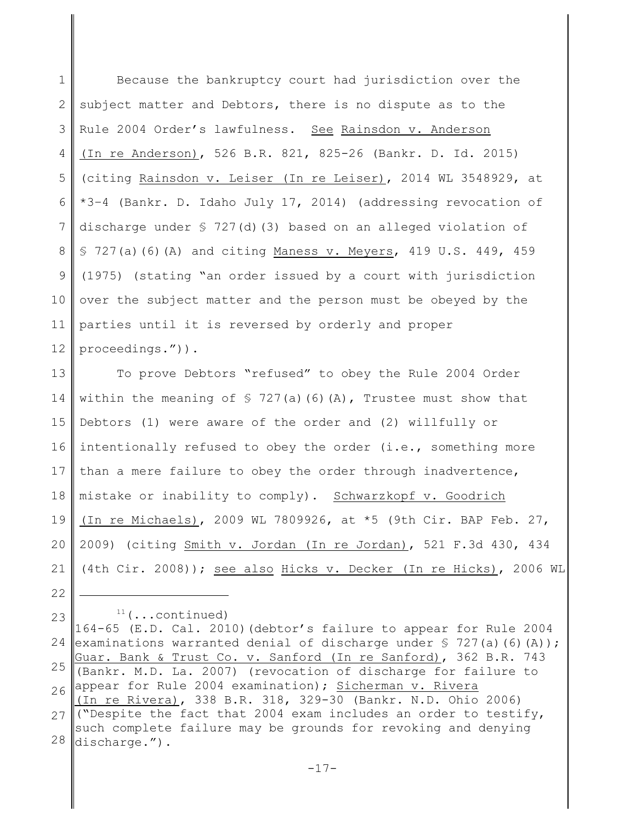1 2 3 4 5 6 7 8 9 10 11 12 Because the bankruptcy court had jurisdiction over the subject matter and Debtors, there is no dispute as to the Rule 2004 Order's lawfulness. See Rainsdon v. Anderson (In re Anderson), 526 B.R. 821, 825-26 (Bankr. D. Id. 2015) (citing Rainsdon v. Leiser (In re Leiser), 2014 WL 3548929, at \*3–4 (Bankr. D. Idaho July 17, 2014) (addressing revocation of discharge under  $\frac{1}{2}$  727(d)(3) based on an alleged violation of § 727(a)(6)(A) and citing Maness v. Meyers, 419 U.S. 449, 459 (1975) (stating "an order issued by a court with jurisdiction over the subject matter and the person must be obeyed by the parties until it is reversed by orderly and proper proceedings.")).

13 14 15 16 17 18 19 20 21 To prove Debtors "refused" to obey the Rule 2004 Order within the meaning of  $\frac{1}{2}$  727(a)(6)(A), Trustee must show that Debtors (1) were aware of the order and (2) willfully or intentionally refused to obey the order (i.e., something more than a mere failure to obey the order through inadvertence, mistake or inability to comply). Schwarzkopf v. Goodrich (In re Michaels), 2009 WL 7809926, at \*5 (9th Cir. BAP Feb. 27, 2009) (citing Smith v. Jordan (In re Jordan), 521 F.3d 430, 434 (4th Cir. 2008)); see also Hicks v. Decker (In re Hicks), 2006 WL

22

23

 $11$  (...continued)

24 25 26 27 28 164-65 (E.D. Cal. 2010)(debtor's failure to appear for Rule 2004 examinations warranted denial of discharge under  $S$  727(a)(6)(A)); Guar. Bank & Trust Co. v. Sanford (In re Sanford), 362 B.R. 743 (Bankr. M.D. La. 2007) (revocation of discharge for failure to appear for Rule 2004 examination); Sicherman v. Rivera (In re Rivera), 338 B.R. 318, 329-30 (Bankr. N.D. Ohio 2006) ("Despite the fact that 2004 exam includes an order to testify, such complete failure may be grounds for revoking and denying discharge.").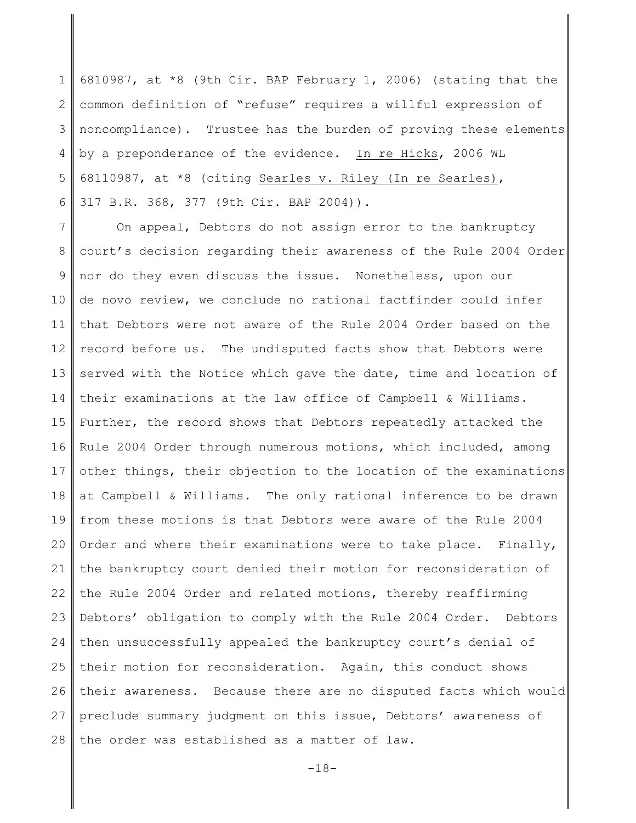1 2 3 4 5 6 6810987, at \*8 (9th Cir. BAP February 1, 2006) (stating that the common definition of "refuse" requires a willful expression of noncompliance). Trustee has the burden of proving these elements by a preponderance of the evidence. In re Hicks, 2006 WL 68110987, at \*8 (citing Searles v. Riley (In re Searles), 317 B.R. 368, 377 (9th Cir. BAP 2004)).

7 8 9 10 11 12 13 14 15 16 17 18 19 20 21 22 23 24 25 26 27 28 On appeal, Debtors do not assign error to the bankruptcy court's decision regarding their awareness of the Rule 2004 Order nor do they even discuss the issue. Nonetheless, upon our de novo review, we conclude no rational factfinder could infer that Debtors were not aware of the Rule 2004 Order based on the record before us. The undisputed facts show that Debtors were served with the Notice which gave the date, time and location of their examinations at the law office of Campbell & Williams. Further, the record shows that Debtors repeatedly attacked the Rule 2004 Order through numerous motions, which included, among other things, their objection to the location of the examinations at Campbell & Williams. The only rational inference to be drawn from these motions is that Debtors were aware of the Rule 2004 Order and where their examinations were to take place. Finally, the bankruptcy court denied their motion for reconsideration of the Rule 2004 Order and related motions, thereby reaffirming Debtors' obligation to comply with the Rule 2004 Order. Debtors then unsuccessfully appealed the bankruptcy court's denial of their motion for reconsideration. Again, this conduct shows their awareness. Because there are no disputed facts which would preclude summary judgment on this issue, Debtors' awareness of the order was established as a matter of law.

 $-18-$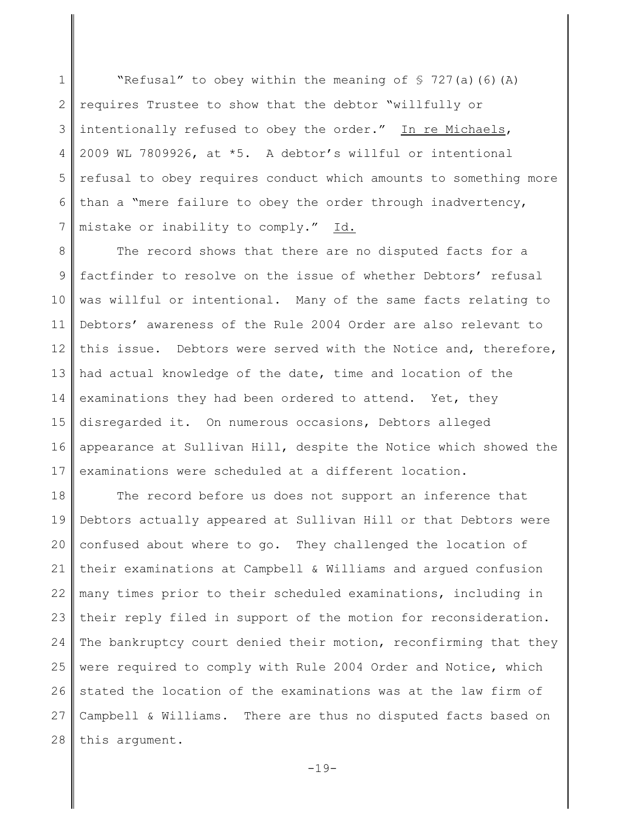1 2 3 4 5 6 7 "Refusal" to obey within the meaning of § 727(a)(6)(A) requires Trustee to show that the debtor "willfully or intentionally refused to obey the order." In re Michaels, 2009 WL 7809926, at \*5. A debtor's willful or intentional refusal to obey requires conduct which amounts to something more than a "mere failure to obey the order through inadvertency, mistake or inability to comply." Id.

8 9 10 11 12 13 14 15 16 17 The record shows that there are no disputed facts for a factfinder to resolve on the issue of whether Debtors' refusal was willful or intentional. Many of the same facts relating to Debtors' awareness of the Rule 2004 Order are also relevant to this issue. Debtors were served with the Notice and, therefore, had actual knowledge of the date, time and location of the examinations they had been ordered to attend. Yet, they disregarded it. On numerous occasions, Debtors alleged appearance at Sullivan Hill, despite the Notice which showed the examinations were scheduled at a different location.

18 19 20 21 22 23 24 25 26 27 28 The record before us does not support an inference that Debtors actually appeared at Sullivan Hill or that Debtors were confused about where to go. They challenged the location of their examinations at Campbell & Williams and argued confusion many times prior to their scheduled examinations, including in their reply filed in support of the motion for reconsideration. The bankruptcy court denied their motion, reconfirming that they were required to comply with Rule 2004 Order and Notice, which stated the location of the examinations was at the law firm of Campbell & Williams. There are thus no disputed facts based on this argument.

 $-19-$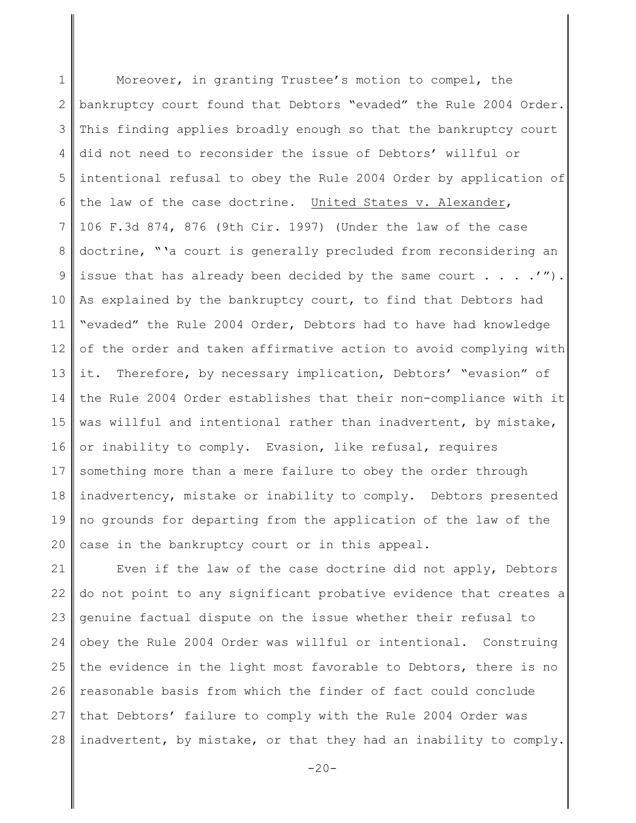1 2 3 4 5 6 7 8 9 10 11 12 13 14 15 16 17 18 19 20 Moreover, in granting Trustee's motion to compel, the bankruptcy court found that Debtors "evaded" the Rule 2004 Order. This finding applies broadly enough so that the bankruptcy court did not need to reconsider the issue of Debtors' willful or intentional refusal to obey the Rule 2004 Order by application of the law of the case doctrine. United States v. Alexander, 106 F.3d 874, 876 (9th Cir. 1997) (Under the law of the case doctrine, "'a court is generally precluded from reconsidering an issue that has already been decided by the same court  $\ldots$ .'"). As explained by the bankruptcy court, to find that Debtors had "evaded" the Rule 2004 Order, Debtors had to have had knowledge of the order and taken affirmative action to avoid complying with it. Therefore, by necessary implication, Debtors' "evasion" of the Rule 2004 Order establishes that their non-compliance with it was willful and intentional rather than inadvertent, by mistake, or inability to comply. Evasion, like refusal, requires something more than a mere failure to obey the order through inadvertency, mistake or inability to comply. Debtors presented no grounds for departing from the application of the law of the case in the bankruptcy court or in this appeal.

21 22 23 24 25 26 27 28 Even if the law of the case doctrine did not apply, Debtors do not point to any significant probative evidence that creates a genuine factual dispute on the issue whether their refusal to obey the Rule 2004 Order was willful or intentional. Construing the evidence in the light most favorable to Debtors, there is no reasonable basis from which the finder of fact could conclude that Debtors' failure to comply with the Rule 2004 Order was inadvertent, by mistake, or that they had an inability to comply.

 $-20-$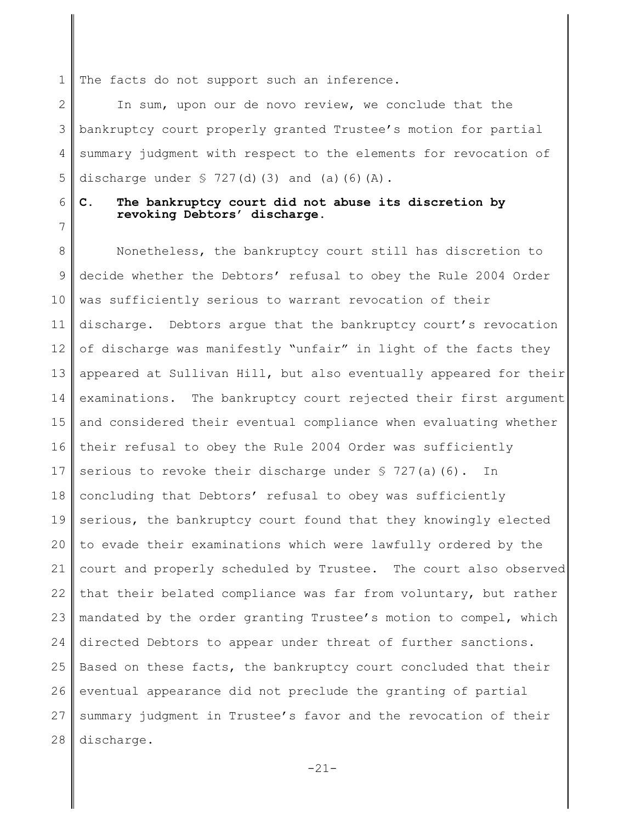1 The facts do not support such an inference.

2 3 4 5 In sum, upon our de novo review, we conclude that the bankruptcy court properly granted Trustee's motion for partial summary judgment with respect to the elements for revocation of discharge under  $\frac{1}{2}$  727(d)(3) and (a)(6)(A).

6 7

## **C. The bankruptcy court did not abuse its discretion by revoking Debtors' discharge.**

8 9 10 11 12 13 14 15 16 17 18 19 20 21 22 23 24 25 26 27 28 Nonetheless, the bankruptcy court still has discretion to decide whether the Debtors' refusal to obey the Rule 2004 Order was sufficiently serious to warrant revocation of their discharge. Debtors argue that the bankruptcy court's revocation of discharge was manifestly "unfair" in light of the facts they appeared at Sullivan Hill, but also eventually appeared for their examinations. The bankruptcy court rejected their first argument and considered their eventual compliance when evaluating whether their refusal to obey the Rule 2004 Order was sufficiently serious to revoke their discharge under § 727(a)(6). In concluding that Debtors' refusal to obey was sufficiently serious, the bankruptcy court found that they knowingly elected to evade their examinations which were lawfully ordered by the court and properly scheduled by Trustee. The court also observed that their belated compliance was far from voluntary, but rather mandated by the order granting Trustee's motion to compel, which directed Debtors to appear under threat of further sanctions. Based on these facts, the bankruptcy court concluded that their eventual appearance did not preclude the granting of partial summary judgment in Trustee's favor and the revocation of their discharge.